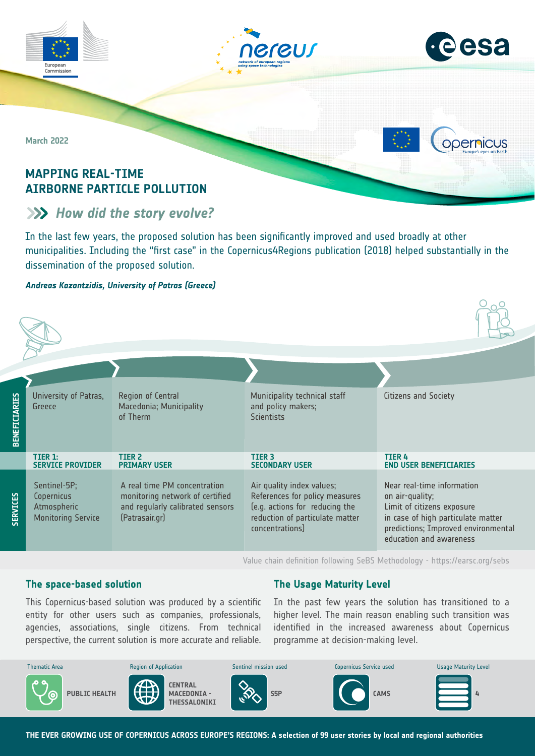





**Opernicus** 

**March 2022**

# **MAPPING REAL-TIME AIRBORNE PARTICLE POLLUTION**

# **EXP** How did the story evolve?

In the last few years, the proposed solution has been significantly improved and used broadly at other municipalities. Including the "first case" in the Copernicus4Regions publication (2018) helped substantially in the dissemination of the proposed solution.

#### *Andreas Kazantzidis, University of Patras (Greece)*

| BENEFICIARIES   | University of Patras,<br>Greece                                        | Region of Central<br>Macedonia; Municipality<br>of Therm                                                              | Municipality technical staff<br>and policy makers;<br><b>Scientists</b>                                                                             | Citizens and Society                                                                                                                                                                |
|-----------------|------------------------------------------------------------------------|-----------------------------------------------------------------------------------------------------------------------|-----------------------------------------------------------------------------------------------------------------------------------------------------|-------------------------------------------------------------------------------------------------------------------------------------------------------------------------------------|
|                 | TIER 1:<br><b>SERVICE PROVIDER</b>                                     | TIER <sub>2</sub><br><b>PRIMARY USER</b>                                                                              | <b>TIER 3</b><br><b>SECONDARY USER</b>                                                                                                              | <b>TIER 4</b><br><b>END USER BENEFICIARIES</b>                                                                                                                                      |
| <b>SERVICES</b> | Sentinel-5P;<br>Copernicus<br>Atmospheric<br><b>Monitoring Service</b> | A real time PM concentration<br>monitoring network of certified<br>and regularly calibrated sensors<br>(Patrasair.gr) | Air quality index values;<br>References for policy measures<br>(e.g. actions for reducing the<br>reduction of particulate matter<br>concentrations) | Near real-time information<br>on air-quality;<br>Limit of citizens exposure<br>in case of high particulate matter<br>predictions; Improved environmental<br>education and awareness |

Value chain definition following SeBS Methodology -<https://earsc.org/sebs>

#### **The space-based solution**

## **The Usage Maturity Level**

agencies, associations, single citizens. From technical perspective, the current solution is more accurate and reliable. This Copernicus-based solution was produced by a scientific entity for other users such as companies, professionals,

identified in the increased awareness about Copernicus In the past few years the solution has transitioned to a higher level. The main reason enabling such transition was programme at decision-making level.



**THE EVER GROWING USE OF COPERNICUS ACROSS EUROPE'S REGIONS: A selection of 99 user stories by local and regional authorities**